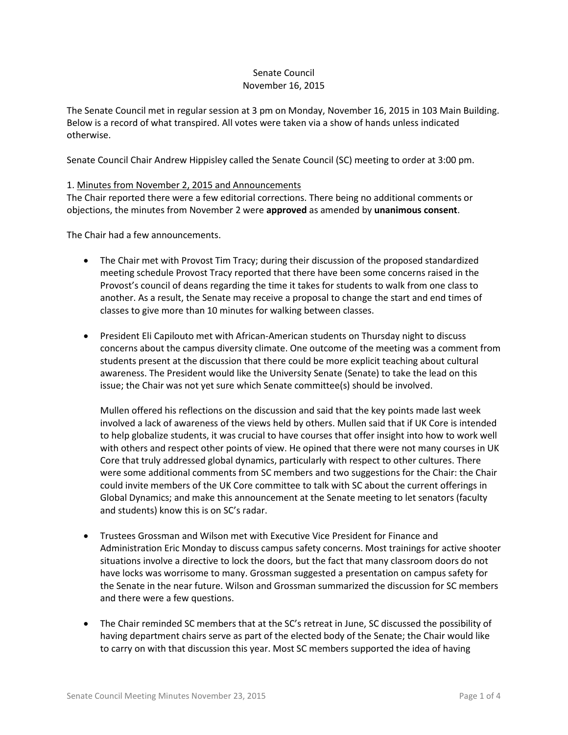## Senate Council November 16, 2015

The Senate Council met in regular session at 3 pm on Monday, November 16, 2015 in 103 Main Building. Below is a record of what transpired. All votes were taken via a show of hands unless indicated otherwise.

Senate Council Chair Andrew Hippisley called the Senate Council (SC) meeting to order at 3:00 pm.

### 1. Minutes from November 2, 2015 and Announcements

The Chair reported there were a few editorial corrections. There being no additional comments or objections, the minutes from November 2 were **approved** as amended by **unanimous consent**.

The Chair had a few announcements.

- The Chair met with Provost Tim Tracy; during their discussion of the proposed standardized meeting schedule Provost Tracy reported that there have been some concerns raised in the Provost's council of deans regarding the time it takes for students to walk from one class to another. As a result, the Senate may receive a proposal to change the start and end times of classes to give more than 10 minutes for walking between classes.
- President Eli Capilouto met with African-American students on Thursday night to discuss concerns about the campus diversity climate. One outcome of the meeting was a comment from students present at the discussion that there could be more explicit teaching about cultural awareness. The President would like the University Senate (Senate) to take the lead on this issue; the Chair was not yet sure which Senate committee(s) should be involved.

Mullen offered his reflections on the discussion and said that the key points made last week involved a lack of awareness of the views held by others. Mullen said that if UK Core is intended to help globalize students, it was crucial to have courses that offer insight into how to work well with others and respect other points of view. He opined that there were not many courses in UK Core that truly addressed global dynamics, particularly with respect to other cultures. There were some additional comments from SC members and two suggestions for the Chair: the Chair could invite members of the UK Core committee to talk with SC about the current offerings in Global Dynamics; and make this announcement at the Senate meeting to let senators (faculty and students) know this is on SC's radar.

- Trustees Grossman and Wilson met with Executive Vice President for Finance and Administration Eric Monday to discuss campus safety concerns. Most trainings for active shooter situations involve a directive to lock the doors, but the fact that many classroom doors do not have locks was worrisome to many. Grossman suggested a presentation on campus safety for the Senate in the near future. Wilson and Grossman summarized the discussion for SC members and there were a few questions.
- The Chair reminded SC members that at the SC's retreat in June, SC discussed the possibility of having department chairs serve as part of the elected body of the Senate; the Chair would like to carry on with that discussion this year. Most SC members supported the idea of having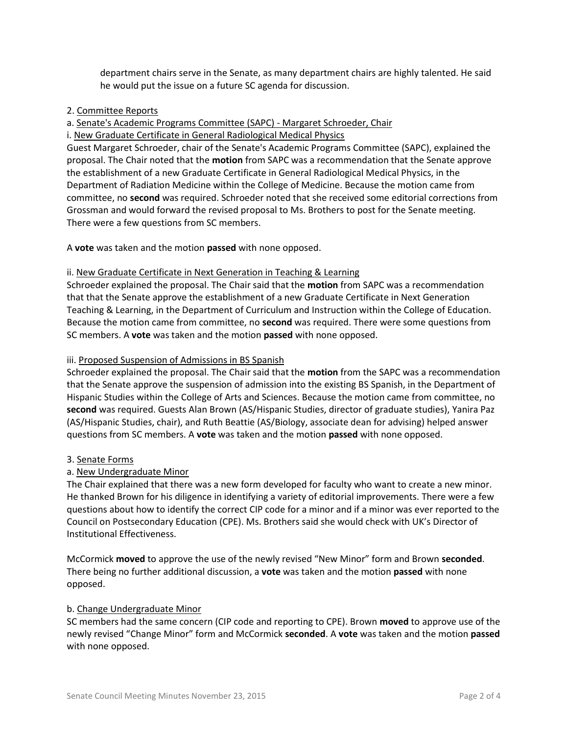department chairs serve in the Senate, as many department chairs are highly talented. He said he would put the issue on a future SC agenda for discussion.

## 2. Committee Reports

# a. Senate's Academic Programs Committee (SAPC) - Margaret Schroeder, Chair

## i. New Graduate Certificate in General Radiological Medical Physics

Guest Margaret Schroeder, chair of the Senate's Academic Programs Committee (SAPC), explained the proposal. The Chair noted that the **motion** from SAPC was a recommendation that the Senate approve the establishment of a new Graduate Certificate in General Radiological Medical Physics, in the Department of Radiation Medicine within the College of Medicine. Because the motion came from committee, no **second** was required. Schroeder noted that she received some editorial corrections from Grossman and would forward the revised proposal to Ms. Brothers to post for the Senate meeting. There were a few questions from SC members.

A **vote** was taken and the motion **passed** with none opposed.

## ii. New Graduate Certificate in Next Generation in Teaching & Learning

Schroeder explained the proposal. The Chair said that the **motion** from SAPC was a recommendation that that the Senate approve the establishment of a new Graduate Certificate in Next Generation Teaching & Learning, in the Department of Curriculum and Instruction within the College of Education. Because the motion came from committee, no **second** was required. There were some questions from SC members. A **vote** was taken and the motion **passed** with none opposed.

## iii. Proposed Suspension of Admissions in BS Spanish

Schroeder explained the proposal. The Chair said that the **motion** from the SAPC was a recommendation that the Senate approve the suspension of admission into the existing BS Spanish, in the Department of Hispanic Studies within the College of Arts and Sciences. Because the motion came from committee, no **second** was required. Guests Alan Brown (AS/Hispanic Studies, director of graduate studies), Yanira Paz (AS/Hispanic Studies, chair), and Ruth Beattie (AS/Biology, associate dean for advising) helped answer questions from SC members. A **vote** was taken and the motion **passed** with none opposed.

## 3. Senate Forms

## a. New Undergraduate Minor

The Chair explained that there was a new form developed for faculty who want to create a new minor. He thanked Brown for his diligence in identifying a variety of editorial improvements. There were a few questions about how to identify the correct CIP code for a minor and if a minor was ever reported to the Council on Postsecondary Education (CPE). Ms. Brothers said she would check with UK's Director of Institutional Effectiveness.

McCormick **moved** to approve the use of the newly revised "New Minor" form and Brown **seconded**. There being no further additional discussion, a **vote** was taken and the motion **passed** with none opposed.

## b. Change Undergraduate Minor

SC members had the same concern (CIP code and reporting to CPE). Brown **moved** to approve use of the newly revised "Change Minor" form and McCormick **seconded**. A **vote** was taken and the motion **passed** with none opposed.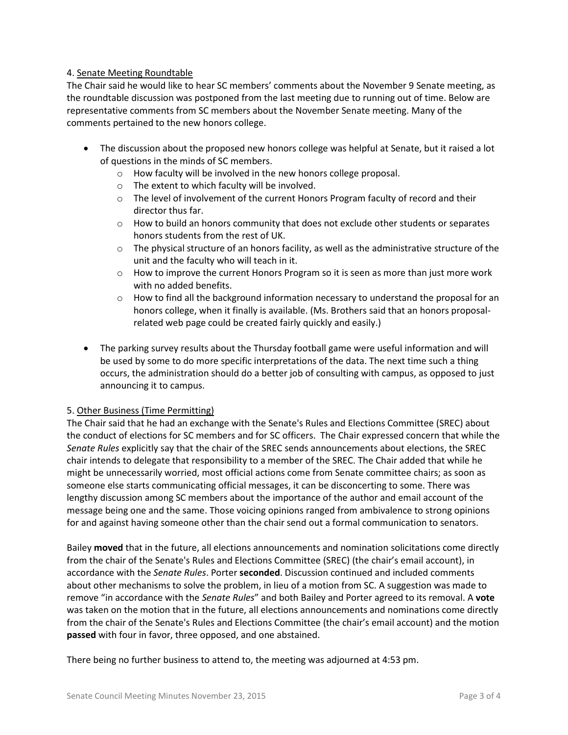## 4. Senate Meeting Roundtable

The Chair said he would like to hear SC members' comments about the November 9 Senate meeting, as the roundtable discussion was postponed from the last meeting due to running out of time. Below are representative comments from SC members about the November Senate meeting. Many of the comments pertained to the new honors college.

- The discussion about the proposed new honors college was helpful at Senate, but it raised a lot of questions in the minds of SC members.
	- o How faculty will be involved in the new honors college proposal.
	- o The extent to which faculty will be involved.
	- $\circ$  The level of involvement of the current Honors Program faculty of record and their director thus far.
	- $\circ$  How to build an honors community that does not exclude other students or separates honors students from the rest of UK.
	- $\circ$  The physical structure of an honors facility, as well as the administrative structure of the unit and the faculty who will teach in it.
	- $\circ$  How to improve the current Honors Program so it is seen as more than just more work with no added benefits.
	- $\circ$  How to find all the background information necessary to understand the proposal for an honors college, when it finally is available. (Ms. Brothers said that an honors proposalrelated web page could be created fairly quickly and easily.)
- The parking survey results about the Thursday football game were useful information and will be used by some to do more specific interpretations of the data. The next time such a thing occurs, the administration should do a better job of consulting with campus, as opposed to just announcing it to campus.

## 5. Other Business (Time Permitting)

The Chair said that he had an exchange with the Senate's Rules and Elections Committee (SREC) about the conduct of elections for SC members and for SC officers. The Chair expressed concern that while the *Senate Rules* explicitly say that the chair of the SREC sends announcements about elections, the SREC chair intends to delegate that responsibility to a member of the SREC. The Chair added that while he might be unnecessarily worried, most official actions come from Senate committee chairs; as soon as someone else starts communicating official messages, it can be disconcerting to some. There was lengthy discussion among SC members about the importance of the author and email account of the message being one and the same. Those voicing opinions ranged from ambivalence to strong opinions for and against having someone other than the chair send out a formal communication to senators.

Bailey **moved** that in the future, all elections announcements and nomination solicitations come directly from the chair of the Senate's Rules and Elections Committee (SREC) (the chair's email account), in accordance with the *Senate Rules*. Porter **seconded**. Discussion continued and included comments about other mechanisms to solve the problem, in lieu of a motion from SC. A suggestion was made to remove "in accordance with the *Senate Rules*" and both Bailey and Porter agreed to its removal. A **vote** was taken on the motion that in the future, all elections announcements and nominations come directly from the chair of the Senate's Rules and Elections Committee (the chair's email account) and the motion **passed** with four in favor, three opposed, and one abstained.

There being no further business to attend to, the meeting was adjourned at 4:53 pm.